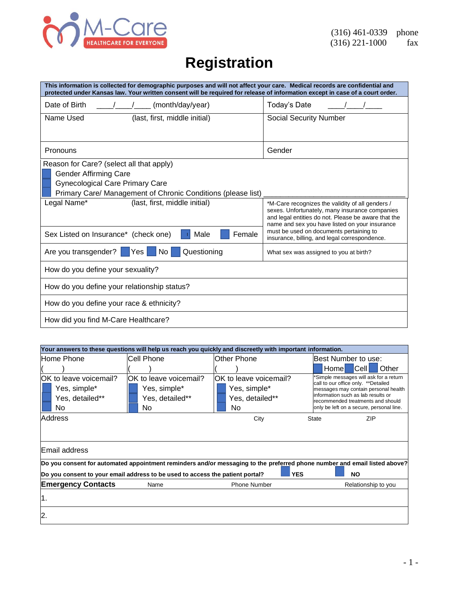

# **Registration**

| This information is collected for demographic purposes and will not affect your care. Medical records are confidential and<br>protected under Kansas law. Your written consent will be required for release of information except in case of a court order. |                                                                                                                                                                                                             |  |
|-------------------------------------------------------------------------------------------------------------------------------------------------------------------------------------------------------------------------------------------------------------|-------------------------------------------------------------------------------------------------------------------------------------------------------------------------------------------------------------|--|
| Date of Birth<br>(month/day/year)                                                                                                                                                                                                                           | Today's Date                                                                                                                                                                                                |  |
| Name Used<br>(last, first, middle initial)                                                                                                                                                                                                                  | <b>Social Security Number</b>                                                                                                                                                                               |  |
|                                                                                                                                                                                                                                                             |                                                                                                                                                                                                             |  |
| Pronouns                                                                                                                                                                                                                                                    | Gender                                                                                                                                                                                                      |  |
| Reason for Care? (select all that apply)                                                                                                                                                                                                                    |                                                                                                                                                                                                             |  |
| <b>Gender Affirming Care</b>                                                                                                                                                                                                                                |                                                                                                                                                                                                             |  |
| <b>Gynecological Care Primary Care</b>                                                                                                                                                                                                                      |                                                                                                                                                                                                             |  |
| Primary Care/ Management of Chronic Conditions (please list)                                                                                                                                                                                                |                                                                                                                                                                                                             |  |
| Legal Name*<br>(last, first, middle initial)                                                                                                                                                                                                                | *M-Care recognizes the validity of all genders /<br>sexes. Unfortunately, many insurance companies<br>and legal entities do not. Please be aware that the<br>name and sex you have listed on your insurance |  |
| Sex Listed on Insurance* (check one)<br>Female<br>Male                                                                                                                                                                                                      | must be used on documents pertaining to<br>insurance, billing, and legal correspondence.                                                                                                                    |  |
| Are you transgender?<br>Questioning<br>No l<br>Yes                                                                                                                                                                                                          | What sex was assigned to you at birth?                                                                                                                                                                      |  |
| How do you define your sexuality?                                                                                                                                                                                                                           |                                                                                                                                                                                                             |  |
| How do you define your relationship status?                                                                                                                                                                                                                 |                                                                                                                                                                                                             |  |
| How do you define your race & ethnicity?                                                                                                                                                                                                                    |                                                                                                                                                                                                             |  |
| How did you find M-Care Healthcare?                                                                                                                                                                                                                         |                                                                                                                                                                                                             |  |

|                                                                               |                                                                  | Your answers to these questions will help us reach you quickly and discreetly with important information. |                                                                                                                                                                                                                                               |
|-------------------------------------------------------------------------------|------------------------------------------------------------------|-----------------------------------------------------------------------------------------------------------|-----------------------------------------------------------------------------------------------------------------------------------------------------------------------------------------------------------------------------------------------|
| Home Phone                                                                    | lCell Phone                                                      | lOther Phone                                                                                              | Best Number to use:                                                                                                                                                                                                                           |
|                                                                               |                                                                  |                                                                                                           | Other<br>Homel<br>∣Cell I                                                                                                                                                                                                                     |
| OK to leave voicemail?<br>Yes, simple*<br>Yes, detailed**<br>No.              | OK to leave voicemail?<br>Yes, simple*<br>Yes, detailed**<br>No. | IOK to leave voicemail?<br>Yes, simple*<br>Yes, detailed**<br>No.                                         | *Simple messages will ask for a return<br>call to our office only. ** Detailed<br>messages may contain personal health<br>information such as lab results or<br>recommended treatments and should<br>only be left on a secure, personal line. |
| Address                                                                       |                                                                  | City                                                                                                      | ZIP<br><b>State</b>                                                                                                                                                                                                                           |
|                                                                               |                                                                  |                                                                                                           |                                                                                                                                                                                                                                               |
| <b>IEmail address</b>                                                         |                                                                  |                                                                                                           |                                                                                                                                                                                                                                               |
|                                                                               |                                                                  |                                                                                                           | Do you consent for automated appointment reminders and/or messaging to the preferred phone number and email listed above?                                                                                                                     |
| Do you consent to your email address to be used to access the patient portal? |                                                                  | <b>YES</b>                                                                                                | <b>NO</b>                                                                                                                                                                                                                                     |
| <b>Emergency Contacts</b>                                                     | Name                                                             | <b>Phone Number</b>                                                                                       | Relationship to you                                                                                                                                                                                                                           |
| l1.                                                                           |                                                                  |                                                                                                           |                                                                                                                                                                                                                                               |
| 2.                                                                            |                                                                  |                                                                                                           |                                                                                                                                                                                                                                               |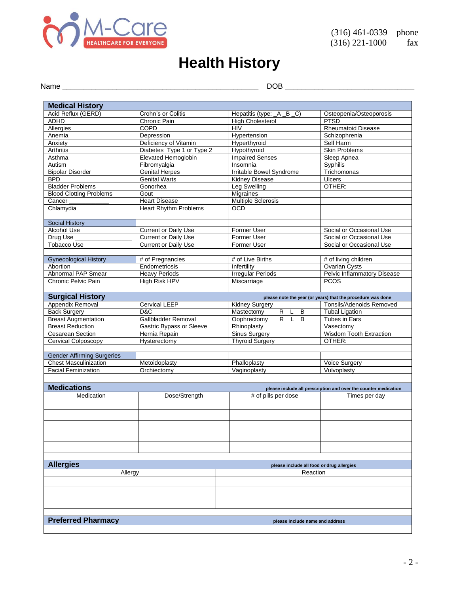

## **Health History**

Name \_\_\_\_\_\_\_\_\_\_\_\_\_\_\_\_\_\_\_\_\_\_\_\_\_\_\_\_\_\_\_\_\_\_\_\_\_\_\_\_\_\_\_\_\_\_\_ DOB \_\_\_\_\_\_\_\_\_\_\_\_\_\_\_\_\_\_\_\_\_\_\_\_\_\_\_\_\_\_\_

| <b>Medical History</b>            |                                     |                                           |                                                                 |
|-----------------------------------|-------------------------------------|-------------------------------------------|-----------------------------------------------------------------|
|                                   |                                     |                                           |                                                                 |
| Acid Reflux (GERD)                | Crohn's or Colitis                  | Hepatitis (type: _A _B _C)                | Osteopenia/Osteoporosis                                         |
| <b>ADHD</b>                       | Chronic Pain<br><b>COPD</b>         | <b>High Cholesterol</b><br><b>HIV</b>     | <b>PTSD</b><br><b>Rheumatoid Disease</b>                        |
| Allergies                         |                                     |                                           | Schizophrenia                                                   |
| Anemia                            | Depression<br>Deficiency of Vitamin | Hypertension                              |                                                                 |
| Anxiety                           |                                     | Hyperthyroid                              | Self Harm                                                       |
| Arthritis                         | Diabetes Type 1 or Type 2           | Hypothyroid                               | <b>Skin Problems</b>                                            |
| Asthma                            | Elevated Hemoglobin                 | <b>Impaired Senses</b>                    | Sleep Apnea                                                     |
| Autism                            | Fibromyalgia                        | Insomnia                                  | Syphilis                                                        |
| <b>Bipolar Disorder</b>           | <b>Genital Herpes</b>               | Irritable Bowel Syndrome                  | Trichomonas                                                     |
| <b>BPD</b>                        | <b>Genital Warts</b>                | <b>Kidney Disease</b>                     | <b>Ulcers</b>                                                   |
| <b>Bladder Problems</b>           | Gonorhea                            | Leg Swelling                              | OTHER:                                                          |
| <b>Blood Clotting Problems</b>    | Gout                                | Migraines                                 |                                                                 |
| Cancer                            | <b>Heart Disease</b>                | <b>Multiple Sclerosis</b>                 |                                                                 |
| Chlamydia                         | <b>Heart Rhythm Problems</b>        | <b>OCD</b>                                |                                                                 |
|                                   |                                     |                                           |                                                                 |
| Social History                    |                                     |                                           |                                                                 |
| Alcohol Use                       | <b>Current or Daily Use</b>         | Former User                               | Social or Occasional Use                                        |
| Drug Use                          | <b>Current or Daily Use</b>         | Former User                               | Social or Occasional Use                                        |
| <b>Tobacco Use</b>                | <b>Current or Daily Use</b>         | Former User                               | Social or Occasional Use                                        |
|                                   |                                     |                                           |                                                                 |
| <b>Gynecological History</b>      | # of Pregnancies                    | # of Live Births                          | # of living children                                            |
| Abortion                          | Endometriosis                       | Infertility                               | Ovarian Cysts                                                   |
| <b>Abnormal PAP Smear</b>         | <b>Heavy Periods</b>                | <b>Irregular Periods</b>                  | <b>Pelvic Inflammatory Disease</b>                              |
| Chronic Pelvic Pain               | High Risk HPV                       | Miscarriage                               | <b>PCOS</b>                                                     |
|                                   |                                     |                                           |                                                                 |
| <b>Surgical History</b>           |                                     |                                           | please note the year (or years) that the procedure was done     |
| Appendix Removal                  | <b>Cervical LEEP</b>                | <b>Kidney Surgery</b>                     | Tonsils/Adenoids Removed                                        |
| <b>Back Surgery</b>               | D&C                                 | Mastectomy<br>R.<br>L<br>B                | <b>Tubal Ligation</b>                                           |
| <b>Breast Augmentation</b>        | Gallbladder Removal                 | $\overline{R}$<br>B<br>Oophrectomy<br>L   | Tubes in Ears                                                   |
| <b>Breast Reduction</b>           | <b>Gastric Bypass or Sleeve</b>     | Rhinoplasty                               | Vasectomy                                                       |
| <b>Cesarean Section</b>           | Hernia Repain                       | <b>Sinus Surgery</b>                      | Wisdom Tooth Extraction                                         |
| Cervical Colposcopy               | Hysterectomy                        | <b>Thyroid Surgery</b>                    | OTHER:                                                          |
|                                   |                                     |                                           |                                                                 |
| <b>Gender Affirming Surgeries</b> |                                     |                                           |                                                                 |
| <b>Chest Masculinization</b>      | Metoidoplasty                       | Phalloplasty                              | Voice Surgery                                                   |
| <b>Facial Feminization</b>        | Orchiectomy                         | Vaginoplasty                              | Vulvoplasty                                                     |
|                                   |                                     |                                           |                                                                 |
|                                   |                                     |                                           |                                                                 |
| <b>Medications</b>                |                                     |                                           | please include all prescription and over the counter medication |
| Medication                        | Dose/Strength                       | $#$ of pills per dose                     | Times per dav                                                   |
|                                   |                                     |                                           |                                                                 |
|                                   |                                     |                                           |                                                                 |
|                                   |                                     |                                           |                                                                 |
|                                   |                                     |                                           |                                                                 |
|                                   |                                     |                                           |                                                                 |
|                                   |                                     |                                           |                                                                 |
|                                   |                                     |                                           |                                                                 |
|                                   |                                     |                                           |                                                                 |
| <b>Allergies</b>                  |                                     | please include all food or drug allergies |                                                                 |
| Allergy<br>Reaction               |                                     |                                           |                                                                 |
|                                   |                                     |                                           |                                                                 |
|                                   |                                     |                                           |                                                                 |
|                                   |                                     |                                           |                                                                 |
|                                   |                                     |                                           |                                                                 |
|                                   |                                     |                                           |                                                                 |
|                                   |                                     |                                           |                                                                 |
| <b>Preferred Pharmacy</b>         |                                     | please include name and address           |                                                                 |
|                                   |                                     |                                           |                                                                 |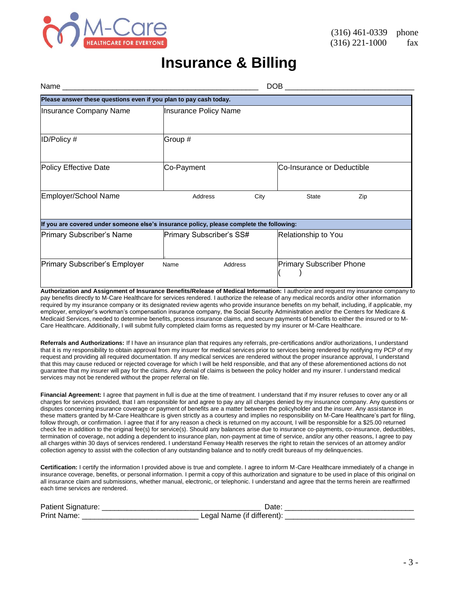

### **Insurance & Billing**

| Name _________                                                                           | DOB                      |                       |                                 |     |
|------------------------------------------------------------------------------------------|--------------------------|-----------------------|---------------------------------|-----|
| Please answer these questions even if you plan to pay cash today.                        |                          |                       |                                 |     |
| Insurance Company Name                                                                   |                          | Insurance Policy Name |                                 |     |
| ID/Policy #                                                                              | Group #                  |                       |                                 |     |
| Policy Effective Date                                                                    | Co-Payment               |                       | lCo-Insurance or Deductible     |     |
| Employer/School Name                                                                     | Address                  | City                  | <b>State</b>                    | Zip |
| If you are covered under someone else's insurance policy, please complete the following: |                          |                       |                                 |     |
| Primary Subscriber's Name                                                                | Primary Subscriber's SS# |                       | Relationship to You             |     |
| Primary Subscriber's Employer                                                            | Name                     | Address               | <b>Primary Subscriber Phone</b> |     |

**Authorization and Assignment of Insurance Benefits/Release of Medical Information:** I authorize and request my insurance company to pay benefits directly to M-Care Healthcare for services rendered. I authorize the release of any medical records and/or other information required by my insurance company or its designated review agents who provide insurance benefits on my behalf, including, if applicable, my employer, employer's workman's compensation insurance company, the Social Security Administration and/or the Centers for Medicare & Medicaid Services, needed to determine benefits, process insurance claims, and secure payments of benefits to either the insured or to M-Care Healthcare. Additionally, I will submit fully completed claim forms as requested by my insurer or M-Care Healthcare.

**Referrals and Authorizations:** If I have an insurance plan that requires any referrals, pre-certifications and/or authorizations, I understand that it is my responsibility to obtain approval from my insurer for medical services prior to services being rendered by notifying my PCP of my request and providing all required documentation. If any medical services are rendered without the proper insurance approval, I understand that this may cause reduced or rejected coverage for which I will be held responsible, and that any of these aforementioned actions do not guarantee that my insurer will pay for the claims. Any denial of claims is between the policy holder and my insurer. I understand medical services may not be rendered without the proper referral on file.

**Financial Agreement:** I agree that payment in full is due at the time of treatment. I understand that if my insurer refuses to cover any or all charges for services provided, that I am responsible for and agree to pay any all charges denied by my insurance company. Any questions or disputes concerning insurance coverage or payment of benefits are a matter between the policyholder and the insurer. Any assistance in these matters granted by M-Care Healthcare is given strictly as a courtesy and implies no responsibility on M-Care Healthcare's part for filing, follow through, or confirmation. I agree that if for any reason a check is returned on my account, I will be responsible for a \$25.00 returned check fee in addition to the original fee(s) for service(s). Should any balances arise due to insurance co-payments, co-insurance, deductibles, termination of coverage, not adding a dependent to insurance plan, non-payment at time of service, and/or any other reasons, I agree to pay all charges within 30 days of services rendered. I understand Fenway Health reserves the right to retain the services of an attorney and/or collection agency to assist with the collection of any outstanding balance and to notify credit bureaus of my delinquencies.

**Certification:** I certify the information I provided above is true and complete. I agree to inform M-Care Healthcare immediately of a change in insurance coverage, benefits, or personal information. I permit a copy of this authorization and signature to be used in place of this original on all insurance claim and submissions, whether manual, electronic, or telephonic. I understand and agree that the terms herein are reaffirmed each time services are rendered.

| Patient Signature: | Date                       |  |
|--------------------|----------------------------|--|
| <b>Print Name:</b> | Legal Name (if different): |  |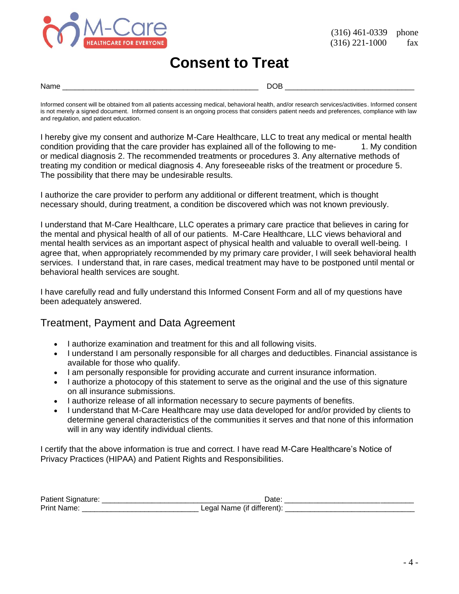

### **Consent to Treat**

Name \_\_\_\_\_\_\_\_\_\_\_\_\_\_\_\_\_\_\_\_\_\_\_\_\_\_\_\_\_\_\_\_\_\_\_\_\_\_\_\_\_\_\_\_\_\_\_ DOB \_\_\_\_\_\_\_\_\_\_\_\_\_\_\_\_\_\_\_\_\_\_\_\_\_\_\_\_\_\_\_

Informed consent will be obtained from all patients accessing medical, behavioral health, and/or research services/activities. Informed consent is not merely a signed document. Informed consent is an ongoing process that considers patient needs and preferences, compliance with law and regulation, and patient education.

I hereby give my consent and authorize M-Care Healthcare, LLC to treat any medical or mental health condition providing that the care provider has explained all of the following to me- 1. My condition or medical diagnosis 2. The recommended treatments or procedures 3. Any alternative methods of treating my condition or medical diagnosis 4. Any foreseeable risks of the treatment or procedure 5. The possibility that there may be undesirable results.

I authorize the care provider to perform any additional or different treatment, which is thought necessary should, during treatment, a condition be discovered which was not known previously.

I understand that M-Care Healthcare, LLC operates a primary care practice that believes in caring for the mental and physical health of all of our patients. M-Care Healthcare, LLC views behavioral and mental health services as an important aspect of physical health and valuable to overall well-being. I agree that, when appropriately recommended by my primary care provider, I will seek behavioral health services. I understand that, in rare cases, medical treatment may have to be postponed until mental or behavioral health services are sought.

I have carefully read and fully understand this Informed Consent Form and all of my questions have been adequately answered.

#### Treatment, Payment and Data Agreement

- I authorize examination and treatment for this and all following visits.
- I understand I am personally responsible for all charges and deductibles. Financial assistance is available for those who qualify.
- I am personally responsible for providing accurate and current insurance information.
- I authorize a photocopy of this statement to serve as the original and the use of this signature on all insurance submissions.
- I authorize release of all information necessary to secure payments of benefits.
- I understand that M-Care Healthcare may use data developed for and/or provided by clients to determine general characteristics of the communities it serves and that none of this information will in any way identify individual clients.

I certify that the above information is true and correct. I have read M-Care Healthcare's Notice of Privacy Practices (HIPAA) and Patient Rights and Responsibilities.

| Patient Signature: | ⊃ate <sup>.</sup>          |  |
|--------------------|----------------------------|--|
| <b>Print Name:</b> | Legal Name (if different). |  |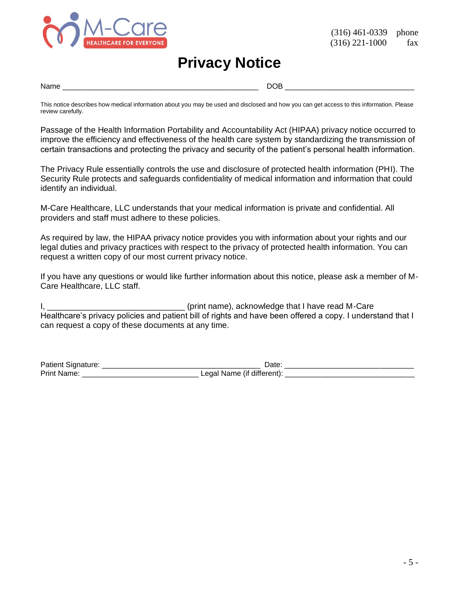

### **Privacy Notice**

Name \_\_\_\_\_\_\_\_\_\_\_\_\_\_\_\_\_\_\_\_\_\_\_\_\_\_\_\_\_\_\_\_\_\_\_\_\_\_\_\_\_\_\_\_\_\_\_ DOB \_\_\_\_\_\_\_\_\_\_\_\_\_\_\_\_\_\_\_\_\_\_\_\_\_\_\_\_\_\_\_

This notice describes how medical information about you may be used and disclosed and how you can get access to this information. Please review carefully.

Passage of the Health Information Portability and Accountability Act (HIPAA) privacy notice occurred to improve the efficiency and effectiveness of the health care system by standardizing the transmission of certain transactions and protecting the privacy and security of the patient's personal health information.

The Privacy Rule essentially controls the use and disclosure of protected health information (PHI). The Security Rule protects and safeguards confidentiality of medical information and information that could identify an individual.

M-Care Healthcare, LLC understands that your medical information is private and confidential. All providers and staff must adhere to these policies.

As required by law, the HIPAA privacy notice provides you with information about your rights and our legal duties and privacy practices with respect to the privacy of protected health information. You can request a written copy of our most current privacy notice.

If you have any questions or would like further information about this notice, please ask a member of M-Care Healthcare, LLC staff.

I, **I** and the same of the state of the state of the state of the state of the state of the state of the state of the state of the state of the state of the state of the state of the state of the state of the state of the Healthcare's privacy policies and patient bill of rights and have been offered a copy. I understand that I can request a copy of these documents at any time.

| <b>Patient Signature:</b> | ⊃ate <sup>.</sup>          |  |
|---------------------------|----------------------------|--|
| <b>Print Name:</b>        | Legal Name (if different). |  |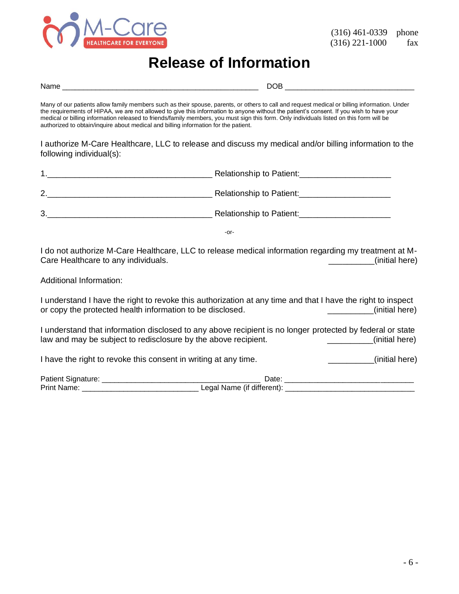

## **Release of Information**

| Name was a structured by the contract of the contract of the contract of the contract of the contract of the contract of the contract of the contract of the contract of the contract of the contract of the contract of the c                                                                                                                                                                                                                                                                                              |                                                                                                                                        |  |
|-----------------------------------------------------------------------------------------------------------------------------------------------------------------------------------------------------------------------------------------------------------------------------------------------------------------------------------------------------------------------------------------------------------------------------------------------------------------------------------------------------------------------------|----------------------------------------------------------------------------------------------------------------------------------------|--|
| Many of our patients allow family members such as their spouse, parents, or others to call and request medical or billing information. Under<br>the requirements of HIPAA, we are not allowed to give this information to anyone without the patient's consent. If you wish to have your<br>medical or billing information released to friends/family members, you must sign this form. Only individuals listed on this form will be<br>authorized to obtain/inquire about medical and billing information for the patient. |                                                                                                                                        |  |
| following individual(s):                                                                                                                                                                                                                                                                                                                                                                                                                                                                                                    | I authorize M-Care Healthcare, LLC to release and discuss my medical and/or billing information to the                                 |  |
|                                                                                                                                                                                                                                                                                                                                                                                                                                                                                                                             |                                                                                                                                        |  |
|                                                                                                                                                                                                                                                                                                                                                                                                                                                                                                                             |                                                                                                                                        |  |
|                                                                                                                                                                                                                                                                                                                                                                                                                                                                                                                             |                                                                                                                                        |  |
|                                                                                                                                                                                                                                                                                                                                                                                                                                                                                                                             | $-0r-$                                                                                                                                 |  |
| Care Healthcare to any individuals.                                                                                                                                                                                                                                                                                                                                                                                                                                                                                         | I do not authorize M-Care Healthcare, LLC to release medical information regarding my treatment at M-<br>_________(initial here)       |  |
| Additional Information:                                                                                                                                                                                                                                                                                                                                                                                                                                                                                                     |                                                                                                                                        |  |
| or copy the protected health information to be disclosed.                                                                                                                                                                                                                                                                                                                                                                                                                                                                   | I understand I have the right to revoke this authorization at any time and that I have the right to inspect<br>_________(initial here) |  |
| I understand that information disclosed to any above recipient is no longer protected by federal or state<br>law and may be subject to redisclosure by the above recipient.<br>(initial here)<br>$\frac{1}{1}$                                                                                                                                                                                                                                                                                                              |                                                                                                                                        |  |
| I have the right to revoke this consent in writing at any time.<br>_________(initial here)                                                                                                                                                                                                                                                                                                                                                                                                                                  |                                                                                                                                        |  |
|                                                                                                                                                                                                                                                                                                                                                                                                                                                                                                                             |                                                                                                                                        |  |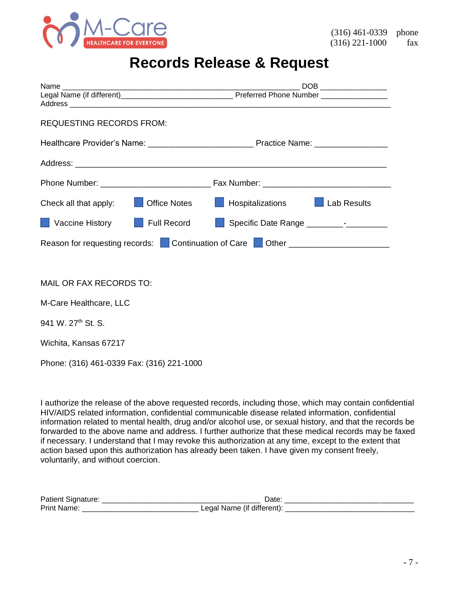

## **Records Release & Request**

| <b>REQUESTING RECORDS FROM:</b>                     |                                                                                                                |
|-----------------------------------------------------|----------------------------------------------------------------------------------------------------------------|
|                                                     |                                                                                                                |
|                                                     |                                                                                                                |
|                                                     |                                                                                                                |
| <b>Office Notes</b><br>Check all that apply: $\Box$ | <b>Example 1</b> Hospitalizations <b>CO</b> Lab Results                                                        |
| Vaccine History <b>Full Record</b>                  |                                                                                                                |
|                                                     | Reason for requesting records: Continuation of Care Cother Counter Content Content Point Reason for requesting |
|                                                     |                                                                                                                |
| MAIL OR FAX RECORDS TO:                             |                                                                                                                |
| M-Care Healthcare, LLC                              |                                                                                                                |
| 941 W. 27 <sup>th</sup> St. S.                      |                                                                                                                |
| Wichita, Kansas 67217                               |                                                                                                                |
| Phone: (316) 461-0339 Fax: (316) 221-1000           |                                                                                                                |

I authorize the release of the above requested records, including those, which may contain confidential HIV/AIDS related information, confidential communicable disease related information, confidential information related to mental health, drug and/or alcohol use, or sexual history, and that the records be forwarded to the above name and address. I further authorize that these medical records may be faxed if necessary. I understand that I may revoke this authorization at any time, except to the extent that action based upon this authorization has already been taken. I have given my consent freely, voluntarily, and without coercion.

| Patient Signature: | Date                                   |  |
|--------------------|----------------------------------------|--|
| <b>Print Name</b>  | ∟egal Name (if different) <sup>.</sup> |  |